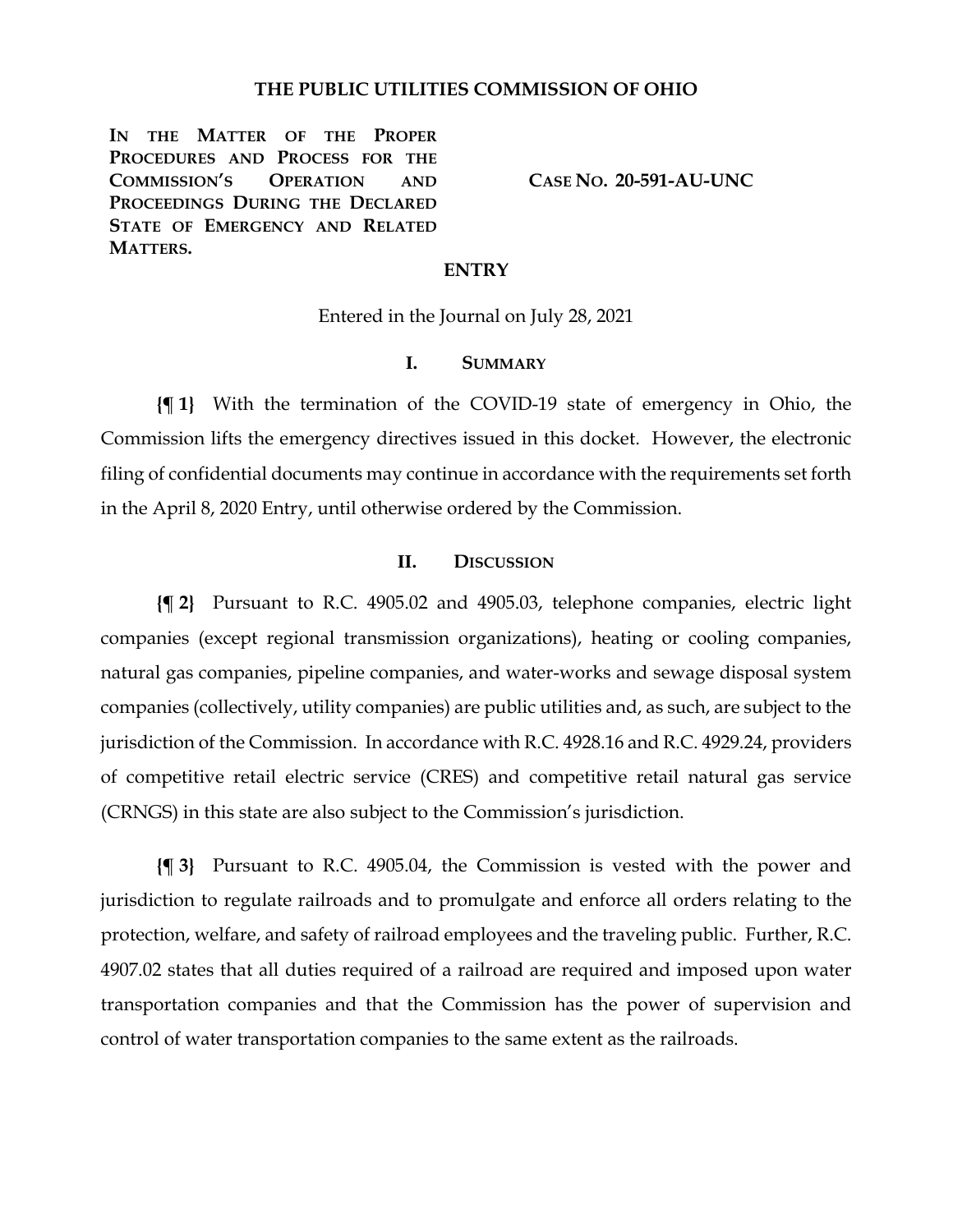### **THE PUBLIC UTILITIES COMMISSION OF OHIO**

**IN THE MATTER OF THE PROPER PROCEDURES AND PROCESS FOR THE COMMISSION'S OPERATION AND PROCEEDINGS DURING THE DECLARED STATE OF EMERGENCY AND RELATED MATTERS.**

**CASE NO. 20-591-AU-UNC**

#### **ENTRY**

Entered in the Journal on July 28, 2021

## **I. SUMMARY**

**{¶ 1}** With the termination of the COVID-19 state of emergency in Ohio, the Commission lifts the emergency directives issued in this docket. However, the electronic filing of confidential documents may continue in accordance with the requirements set forth in the April 8, 2020 Entry, until otherwise ordered by the Commission.

### **II. DISCUSSION**

**{¶ 2}** Pursuant to R.C. 4905.02 and 4905.03, telephone companies, electric light companies (except regional transmission organizations), heating or cooling companies, natural gas companies, pipeline companies, and water-works and sewage disposal system companies (collectively, utility companies) are public utilities and, as such, are subject to the jurisdiction of the Commission. In accordance with R.C. 4928.16 and R.C. 4929.24, providers of competitive retail electric service (CRES) and competitive retail natural gas service (CRNGS) in this state are also subject to the Commission's jurisdiction.

**{¶ 3}** Pursuant to R.C. 4905.04, the Commission is vested with the power and jurisdiction to regulate railroads and to promulgate and enforce all orders relating to the protection, welfare, and safety of railroad employees and the traveling public. Further, R.C. 4907.02 states that all duties required of a railroad are required and imposed upon water transportation companies and that the Commission has the power of supervision and control of water transportation companies to the same extent as the railroads.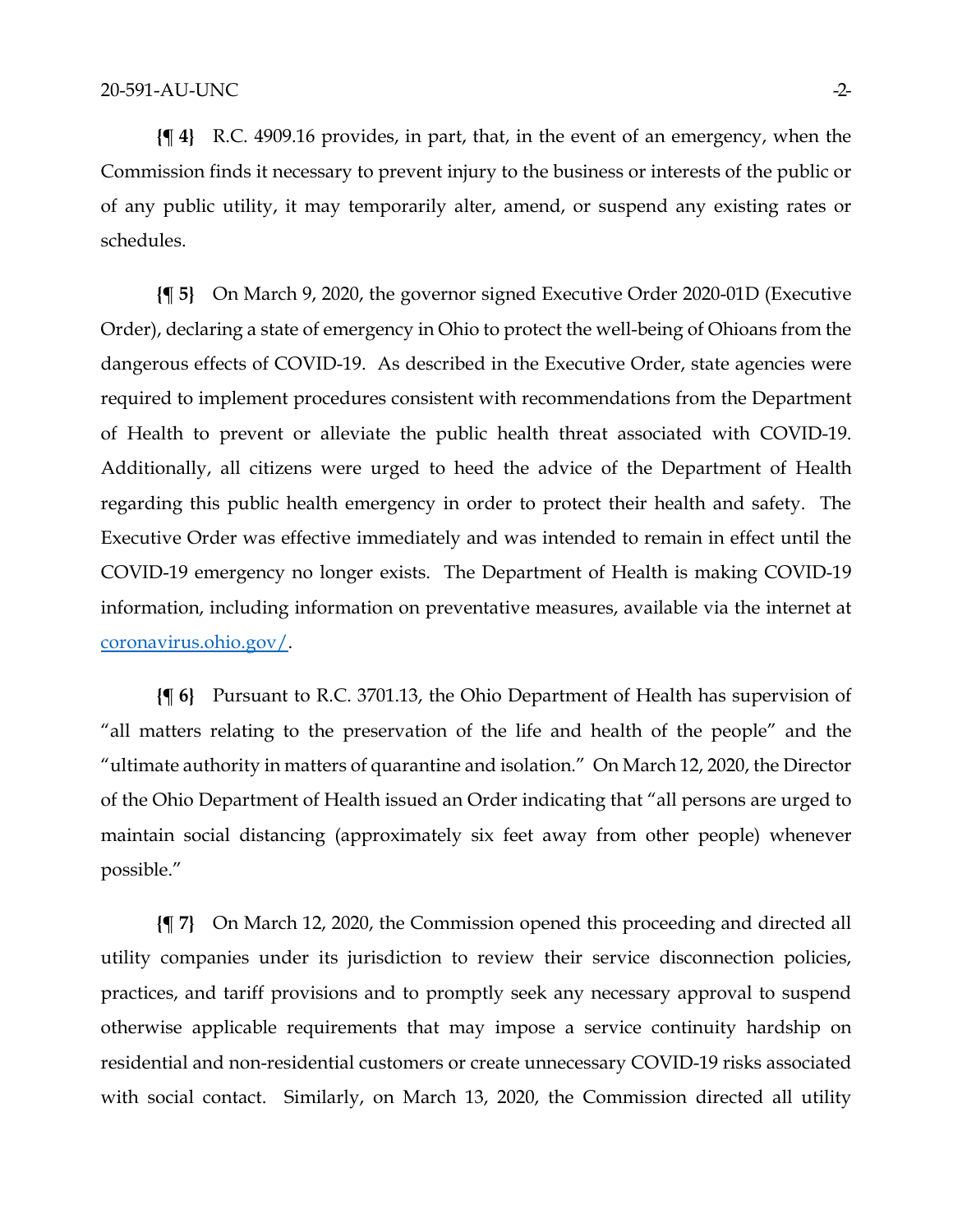**{¶ 4}** R.C. 4909.16 provides, in part, that, in the event of an emergency, when the Commission finds it necessary to prevent injury to the business or interests of the public or of any public utility, it may temporarily alter, amend, or suspend any existing rates or schedules.

**{¶ 5}** On March 9, 2020, the governor signed Executive Order 2020-01D (Executive Order), declaring a state of emergency in Ohio to protect the well-being of Ohioans from the dangerous effects of COVID-19. As described in the Executive Order, state agencies were required to implement procedures consistent with recommendations from the Department of Health to prevent or alleviate the public health threat associated with COVID-19. Additionally, all citizens were urged to heed the advice of the Department of Health regarding this public health emergency in order to protect their health and safety. The Executive Order was effective immediately and was intended to remain in effect until the COVID-19 emergency no longer exists. The Department of Health is making COVID-19 information, including information on preventative measures, available via the internet at [coronavirus.ohio.gov/.](https://coronavirus.ohio.gov/)

**{¶ 6}** Pursuant to R.C. 3701.13, the Ohio Department of Health has supervision of "all matters relating to the preservation of the life and health of the people" and the "ultimate authority in matters of quarantine and isolation." On March 12, 2020, the Director of the Ohio Department of Health issued an Order indicating that "all persons are urged to maintain social distancing (approximately six feet away from other people) whenever possible."

**{¶ 7}** On March 12, 2020, the Commission opened this proceeding and directed all utility companies under its jurisdiction to review their service disconnection policies, practices, and tariff provisions and to promptly seek any necessary approval to suspend otherwise applicable requirements that may impose a service continuity hardship on residential and non-residential customers or create unnecessary COVID-19 risks associated with social contact. Similarly, on March 13, 2020, the Commission directed all utility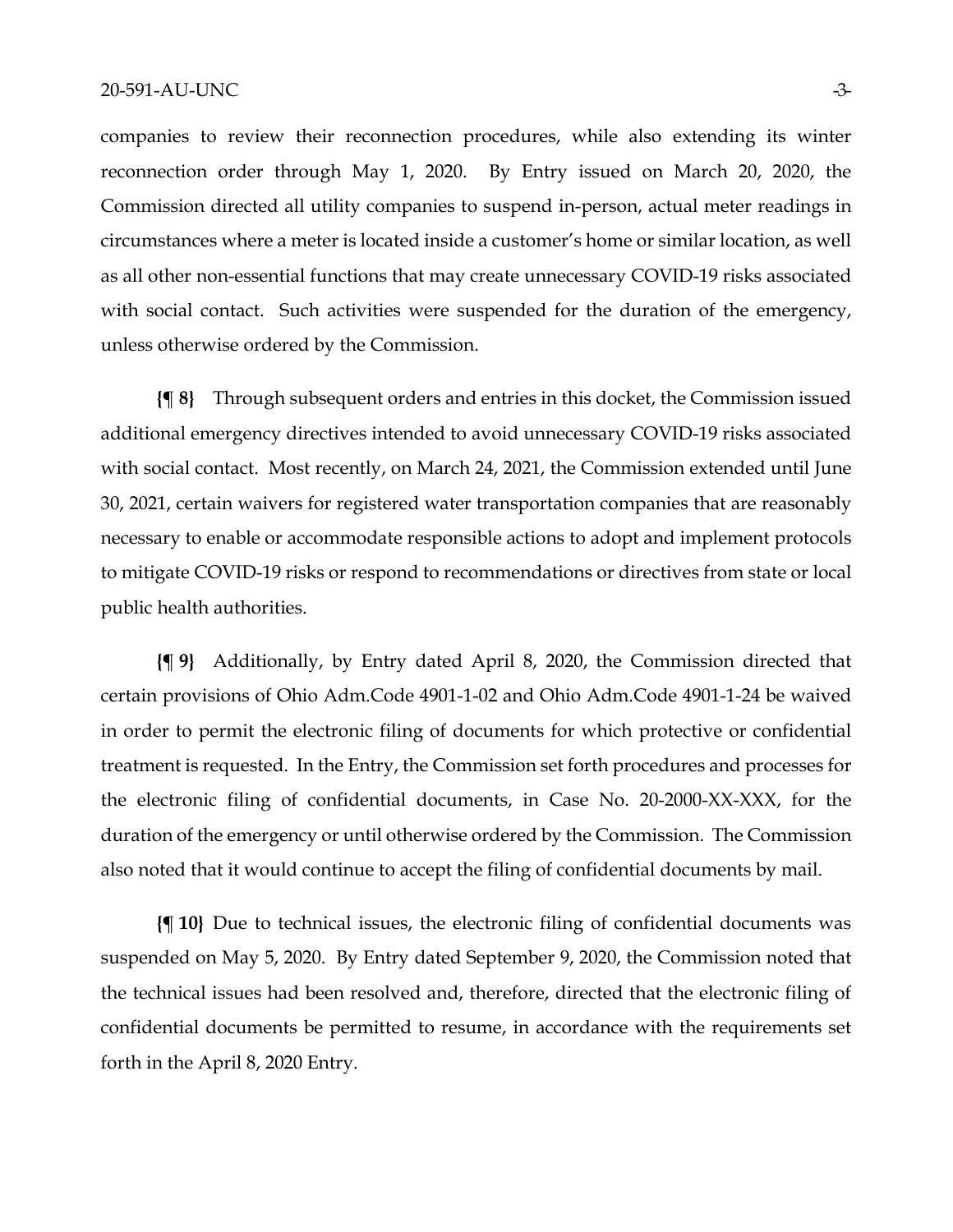#### 20-591-AU-UNC -3-

companies to review their reconnection procedures, while also extending its winter reconnection order through May 1, 2020. By Entry issued on March 20, 2020, the Commission directed all utility companies to suspend in-person, actual meter readings in circumstances where a meter is located inside a customer's home or similar location, as well as all other non-essential functions that may create unnecessary COVID-19 risks associated with social contact. Such activities were suspended for the duration of the emergency, unless otherwise ordered by the Commission.

**{¶ 8}** Through subsequent orders and entries in this docket, the Commission issued additional emergency directives intended to avoid unnecessary COVID-19 risks associated with social contact. Most recently, on March 24, 2021, the Commission extended until June 30, 2021, certain waivers for registered water transportation companies that are reasonably necessary to enable or accommodate responsible actions to adopt and implement protocols to mitigate COVID-19 risks or respond to recommendations or directives from state or local public health authorities.

**{¶ 9}** Additionally, by Entry dated April 8, 2020, the Commission directed that certain provisions of Ohio Adm.Code 4901-1-02 and Ohio Adm.Code 4901-1-24 be waived in order to permit the electronic filing of documents for which protective or confidential treatment is requested. In the Entry, the Commission set forth procedures and processes for the electronic filing of confidential documents, in Case No. 20-2000-XX-XXX, for the duration of the emergency or until otherwise ordered by the Commission. The Commission also noted that it would continue to accept the filing of confidential documents by mail.

**{¶ 10}** Due to technical issues, the electronic filing of confidential documents was suspended on May 5, 2020. By Entry dated September 9, 2020, the Commission noted that the technical issues had been resolved and, therefore, directed that the electronic filing of confidential documents be permitted to resume, in accordance with the requirements set forth in the April 8, 2020 Entry.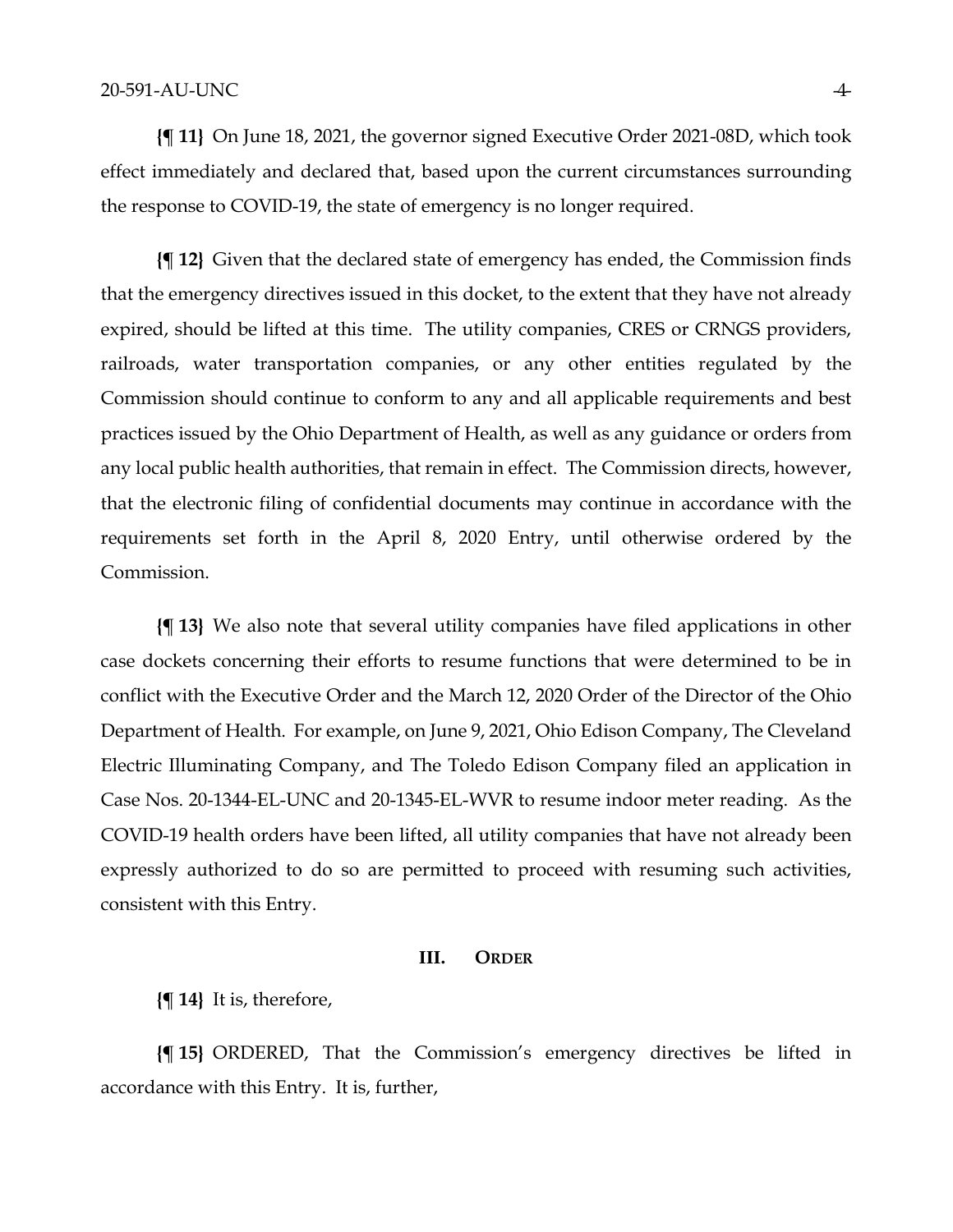**{¶ 11}** On June 18, 2021, the governor signed Executive Order 2021-08D, which took effect immediately and declared that, based upon the current circumstances surrounding the response to COVID-19, the state of emergency is no longer required.

**{¶ 12}** Given that the declared state of emergency has ended, the Commission finds that the emergency directives issued in this docket, to the extent that they have not already expired, should be lifted at this time. The utility companies, CRES or CRNGS providers, railroads, water transportation companies, or any other entities regulated by the Commission should continue to conform to any and all applicable requirements and best practices issued by the Ohio Department of Health, as well as any guidance or orders from any local public health authorities, that remain in effect. The Commission directs, however, that the electronic filing of confidential documents may continue in accordance with the requirements set forth in the April 8, 2020 Entry, until otherwise ordered by the Commission.

**{¶ 13}** We also note that several utility companies have filed applications in other case dockets concerning their efforts to resume functions that were determined to be in conflict with the Executive Order and the March 12, 2020 Order of the Director of the Ohio Department of Health. For example, on June 9, 2021, Ohio Edison Company, The Cleveland Electric Illuminating Company, and The Toledo Edison Company filed an application in Case Nos. 20-1344-EL-UNC and 20-1345-EL-WVR to resume indoor meter reading. As the COVID-19 health orders have been lifted, all utility companies that have not already been expressly authorized to do so are permitted to proceed with resuming such activities, consistent with this Entry.

## **III. ORDER**

**{¶ 14}** It is, therefore,

**{¶ 15}** ORDERED, That the Commission's emergency directives be lifted in accordance with this Entry. It is, further,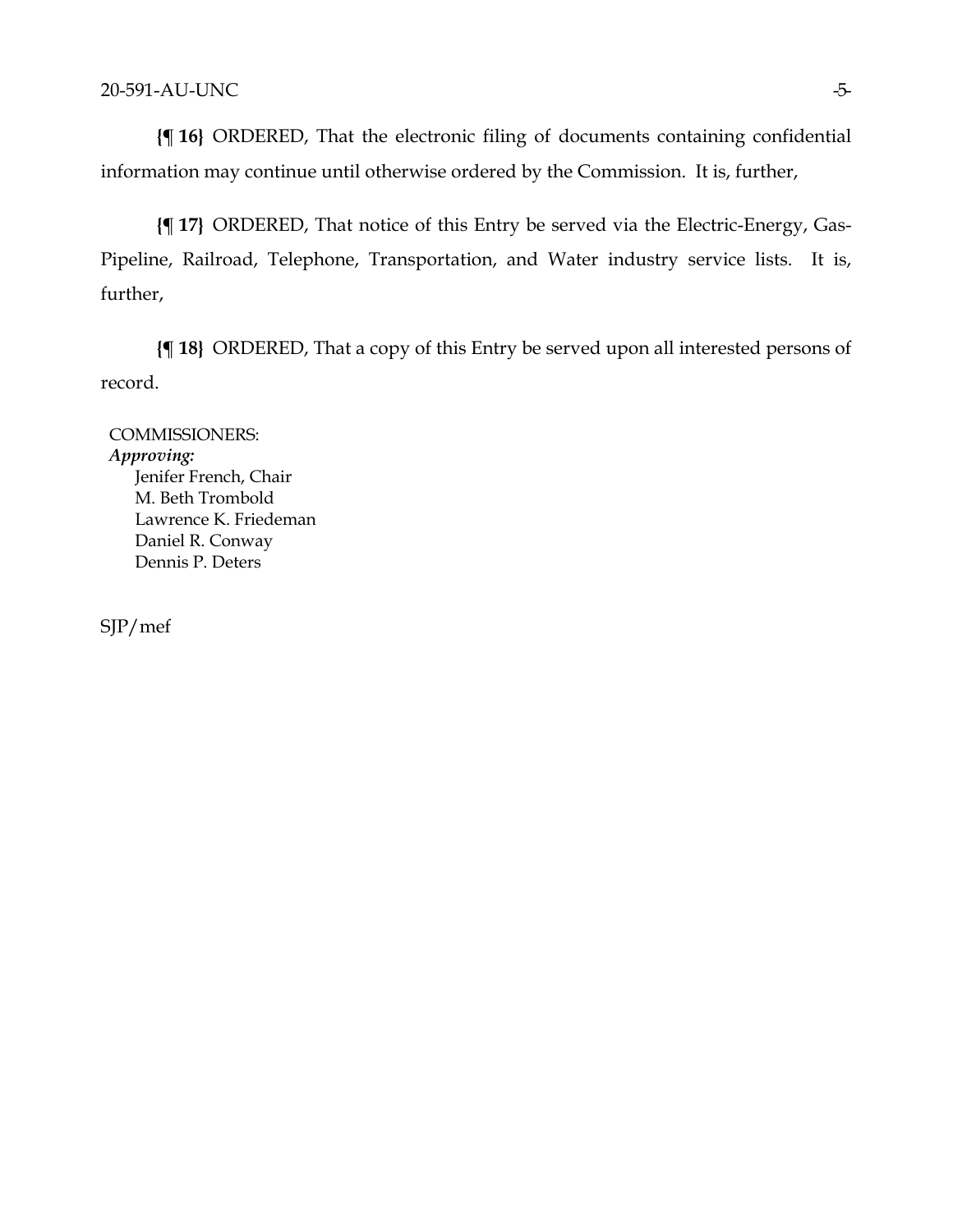**{¶ 16}** ORDERED, That the electronic filing of documents containing confidential information may continue until otherwise ordered by the Commission. It is, further,

**{¶ 17}** ORDERED, That notice of this Entry be served via the Electric-Energy, Gas-Pipeline, Railroad, Telephone, Transportation, and Water industry service lists. It is, further,

**{¶ 18}** ORDERED, That a copy of this Entry be served upon all interested persons of record.

COMMISSIONERS: *Approving:*  Jenifer French, Chair M. Beth Trombold Lawrence K. Friedeman Daniel R. Conway Dennis P. Deters

SJP/mef